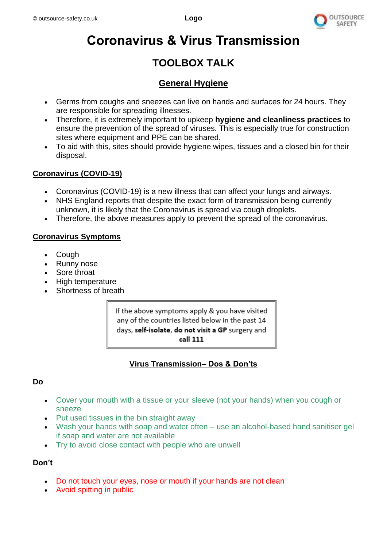

# **Coronavirus & Virus Transmission**

# **TOOLBOX TALK**

## **General Hygiene**

- Germs from coughs and sneezes can live on hands and surfaces for 24 hours. They are responsible for spreading illnesses.
- Therefore, it is extremely important to upkeep **hygiene and cleanliness practices** to ensure the prevention of the spread of viruses. This is especially true for construction sites where equipment and PPE can be shared.
- To aid with this, sites should provide hygiene wipes, tissues and a closed bin for their disposal.

#### **Coronavirus (COVID-19)**

- Coronavirus (COVID-19) is a new illness that can affect your lungs and airways.
- NHS England reports that despite the exact form of transmission being currently unknown, it is likely that the Coronavirus is spread via cough droplets.
- Therefore, the above measures apply to prevent the spread of the coronavirus.

#### **Coronavirus Symptoms**

- **Cough**
- Runny nose
- Sore throat
- High temperature
- Shortness of breath

If the above symptoms apply & you have visited any of the countries listed below in the past 14 days, self-isolate, do not visit a GP surgery and call 111

### **Virus Transmission– Dos & Don'ts**

#### **Do**

- Cover your mouth with a tissue or your sleeve (not your hands) when you cough or sneeze
- Put used tissues in the bin straight away
- Wash your hands with soap and water often use an alcohol-based hand sanitiser gel if soap and water are not available
- Try to avoid close contact with people who are unwell

#### **Don't**

- Do not touch your eyes, nose or mouth if your hands are not clean
- Avoid spitting in public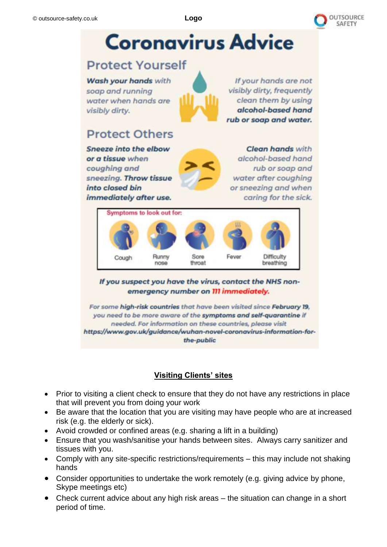

# **Coronavirus Advice**

## **Protect Yourself**

Wash your hands with soap and running water when hands are visibly dirty.

visibly dirty, frequently rub or soap and water.

# **Protect Others**

**Sneeze into the elbow** or a tissue when coughing and sneezing. Throw tissue into closed bin immediately after use.

**Clean hands** with alcohol-based hand rub or soap and water after coughing or sneezing and when caring for the sick.

If your hands are not

clean them by using

alcohol-based hand



If you suspect you have the virus, contact the NHS nonemergency number on III immediately.

For some high-risk countries that have been visited since February 19, you need to be more aware of the symptoms and self-quarantine if needed. For information on these countries, please visit https://www.gov.uk/guidance/wuhan-novel-coronavirus-information-forthe-public

## **Visiting Clients' sites**

- Prior to visiting a client check to ensure that they do not have any restrictions in place that will prevent you from doing your work
- Be aware that the location that you are visiting may have people who are at increased risk (e.g. the elderly or sick).
- Avoid crowded or confined areas (e.g. sharing a lift in a building)
- Ensure that you wash/sanitise your hands between sites. Always carry sanitizer and tissues with you.
- Comply with any site-specific restrictions/requirements this may include not shaking hands
- Consider opportunities to undertake the work remotely (e.g. giving advice by phone, Skype meetings etc)
- Check current advice about any high risk areas the situation can change in a short period of time.